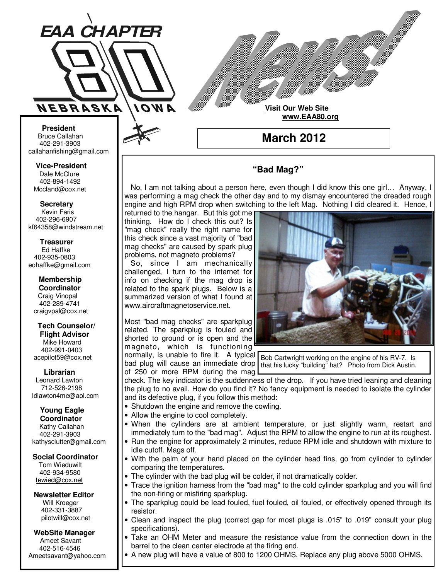

**Visit Our Web Site www.EAA80.org**

**March 2012** 

# **"Bad Mag?"**

 No, I am not talking about a person here, even though I did know this one girl… Anyway, I was performing a mag check the other day and to my dismay encountered the dreaded rough engine and high RPM drop when switching to the left Mag. Nothing I did cleared it. Hence, I

returned to the hangar. But this got me thinking. How do I check this out? Is "mag check" really the right name for this check since a vast majority of "bad mag checks" are caused by spark plug problems, not magneto problems?

 So, since I am mechanically challenged, I turn to the internet for info on checking if the mag drop is related to the spark plugs. Below is a summarized version of what I found at www.aircraftmagnetoservice.net.

Most "bad mag checks" are sparkplug related. The sparkplug is fouled and shorted to ground or is open and the magneto, which is functioning

normally, is unable to fire it. A typical Bob Cartwright working on the engine of his RV-7. Is bad plug will cause an immediate drop of 250 or more RPM during the mag that his lucky "building" hat? Photo from Dick Austin.

check. The key indicator is the suddenness of the drop. If you have tried leaning and cleaning the plug to no avail. How do you find it? No fancy equipment is needed to isolate the cylinder and its defective plug, if you follow this method:

- Shutdown the engine and remove the cowling.
- Allow the engine to cool completely.
- When the cylinders are at ambient temperature, or just slightly warm, restart and immediately turn to the "bad mag". Adjust the RPM to allow the engine to run at its roughest.
- Run the engine for approximately 2 minutes, reduce RPM idle and shutdown with mixture to idle cutoff. Mags off.
- With the palm of your hand placed on the cylinder head fins, go from cylinder to cylinder comparing the temperatures.
- The cylinder with the bad plug will be colder, if not dramatically colder.
- Trace the ignition harness from the "bad mag" to the cold cylinder sparkplug and you will find the non-firing or misfiring sparkplug.
- The sparkplug could be lead fouled, fuel fouled, oil fouled, or effectively opened through its resistor.
- Clean and inspect the plug (correct gap for most plugs is .015" to .019" consult your plug specifications).
- Take an OHM Meter and measure the resistance value from the connection down in the barrel to the clean center electrode at the firing end.
- A new plug will have a value of 800 to 1200 OHMS. Replace any plug above 5000 OHMS.

**Bruce Callahan** 402-291-3903 callahanfishing@gmail.com jrnuke@cox.net

Dale McClure 402-894-1492 Mccland@cox.net  **Vice-President** 

**Kevin Faris** 402-296-6907 kf64358@windstream.net  **Secretary** 

Ed Haffke 402-935-0803 eohaffke@gmail.com  **Treasurer** 

eohaffke@gmail.com **Membership Coordi- Coordinator**  Craig Vinopal Bob Cartwright 402-289-4741 craigvpal@cox.net  **Membership** 

robertc@novia.net **Tech Counselors & Flight Advisor** Mike Howard Bob Harvey 402-991-0403 acepilot59@cox.net  **Tech Counselor/** 

Leonard Lawton 402-991-0403 712-526-2198 ldlawton4me@aol.com  **Librarian**

**Librarian Young Eagle Coordinator** Kathy Callahan ldlawton4me@aol.com 402-291-3903 kathysclutter@gmail.com

 **Coordinator Social Coordinator** 

Tom Wieduwilt 402-964-2645 402-934-9580 tewied@cox.net

**Newsletter Editor Newsletter Editor**  Will Kroeger Will Kroeger 402-331-3887 402-331-3887

pilotwill@cox.net

**WebSite Manager WebSite Manager**  Ameet Savant 402-516-4546 Ameet Savant<br>402-516-4546<br>Ameetsavant@yahoo.com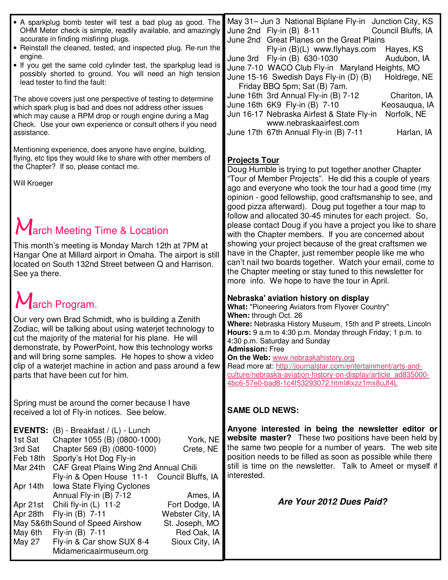| • A sparkplug bomb tester will test a bad plug as good. The<br>OHM Meter check is simple, readily available, and amazingly<br>accurate in finding misfiring plugs.<br>• Reinstall the cleaned, tested, and inspected plug. Re-run the<br>engine.<br>• If you get the same cold cylinder test, the sparkplug lead is<br>possibly shorted to ground. You will need an high tension<br>lead tester to find the fault:<br>The above covers just one perspective of testing to determine<br>which spark plug is bad and does not address other issues<br>which may cause a RPM drop or rough engine during a Mag<br>Check. Use your own experience or consult others if you need<br>assistance.         | May 31- Jun 3 National Biplane Fly-in Junction City, KS<br>Council Bluffs, IA<br>June 2nd $Fly-in(B)$ 8-11<br>June 2nd Great Planes on the Great Plains<br>Fly-in $(B)(L)$ www.flyhays.com<br>Hayes, KS<br>June 3rd Fly-in (B) 630-1030<br>Audubon, IA<br>June 7-10 WACO Club Fly-in Maryland Heights, MO<br>June 15-16 Swedish Days Fly-in (D) (B)<br>Holdrege, NE<br>Friday BBQ 5pm; Sat (B) 7am.<br>June 16th 3rd Annual Fly-in (B) 7-12<br>Chariton, IA<br>June 16th 6K9 Fly-in (B) 7-10<br>Keosauqua, IA<br>Jun 16-17 Nebraska Airfest & State Fly-in<br>Norfolk, NE<br>www.nebraskaairfest.com<br>June 17th 67th Annual Fly-in (B) 7-11<br>Harlan, IA                                                                                               |
|----------------------------------------------------------------------------------------------------------------------------------------------------------------------------------------------------------------------------------------------------------------------------------------------------------------------------------------------------------------------------------------------------------------------------------------------------------------------------------------------------------------------------------------------------------------------------------------------------------------------------------------------------------------------------------------------------|-----------------------------------------------------------------------------------------------------------------------------------------------------------------------------------------------------------------------------------------------------------------------------------------------------------------------------------------------------------------------------------------------------------------------------------------------------------------------------------------------------------------------------------------------------------------------------------------------------------------------------------------------------------------------------------------------------------------------------------------------------------|
| Mentioning experience, does anyone have engine, building,<br>flying, etc tips they would like to share with other members of<br>the Chapter? If so, please contact me.<br>Will Kroeger<br>March Meeting Time & Location<br>This month's meeting is Monday March 12th at 7PM at<br>Hangar One at Millard airport in Omaha. The airport is still<br>located on South 132nd Street between Q and Harrison.<br>See ya there.                                                                                                                                                                                                                                                                           | <b>Projects Tour</b><br>Doug Humble is trying to put together another Chapter<br>"Tour of Member Projects". He did this a couple of years<br>ago and everyone who took the tour had a good time (my<br>opinion - good fellowship, good craftsmanship to see, and<br>good pizza afterward). Doug put together a tour map to<br>follow and allocated 30-45 minutes for each project. So,<br>please contact Doug if you have a project you like to share<br>with the Chapter members. If you are concerned about<br>showing your project because of the great craftsmen we<br>have in the Chapter, just remember people like me who<br>can't nail two boards together. Watch your email, come to<br>the Chapter meeting or stay tuned to this newsletter for |
| March Program.<br>Our very own Brad Schmidt, who is building a Zenith<br>Zodiac, will be talking about using waterjet technology to<br>cut the majority of the material for his plane. He will<br>demonstrate, by PowerPoint, how this technology works<br>and will bring some samples. He hopes to show a video<br>clip of a waterjet machine in action and pass around a few<br>parts that have been cut for him.                                                                                                                                                                                                                                                                                | more info. We hope to have the tour in April.<br>Nebraska' aviation history on display<br>What: "Pioneering Aviators from Flyover Country"<br>When: through Oct. 26<br>Where: Nebraska History Museum, 15th and P streets, Lincoln<br>Hours: 9 a.m to 4:30 p.m. Monday through Friday; 1 p.m. to<br>4:30 p.m. Saturday and Sunday<br><b>Admission: Free</b><br>On the Web: www.nebraskahistory.org<br>Read more at: http://journalstar.com/entertainment/arts-and-<br>culture/nebraska-aviation-history-on-display/article ad835000-<br>4bc6-57e0-bad8-1c4f53293072.html#ixzz1mx8uJf4L                                                                                                                                                                    |
| Spring must be around the corner because I have<br>received a lot of Fly-in notices. See below.                                                                                                                                                                                                                                                                                                                                                                                                                                                                                                                                                                                                    | <b>SAME OLD NEWS:</b>                                                                                                                                                                                                                                                                                                                                                                                                                                                                                                                                                                                                                                                                                                                                     |
| <b>EVENTS:</b> $(B)$ - Breakfast / $(L)$ - Lunch<br>1st Sat<br>Chapter 1055 (B) (0800-1000)<br>York, NE<br>3rd Sat<br>Chapter 569 (B) (0800-1000)<br>Crete, NE<br>Feb 18th Sporty's Hot Dog Fly-in<br>Mar 24th<br>CAF Great Plains Wing 2nd Annual Chili<br>Fly-in & Open House 11-1<br>Council Bluffs, IA<br>Iowa State Flying Cyclones<br>Apr 14th<br>Annual Fly-in (B) 7-12<br>Ames, IA<br>Chili fly-in (L) 11-2<br>Fort Dodge, IA<br>Apr 21st<br>Apr 28th<br>Fly-in (B) 7-11<br>Webster City, IA<br>May 5&6th Sound of Speed Airshow<br>St. Joseph, MO<br>Fly-in (B) 7-11<br>Red Oak, IA<br>May 6th<br>Fly-in & Car show SUX 8-4<br><b>May 27</b><br>Sioux City, IA<br>Midamericaairmuseum.org | Anyone interested in being the newsletter editor or<br>website master? These two positions have been held by<br>the same two people for a number of years. The web site<br>position needs to be filled as soon as possible while there<br>still is time on the newsletter. Talk to Ameet or myself if<br>interested.<br>Are Your 2012 Dues Paid?                                                                                                                                                                                                                                                                                                                                                                                                          |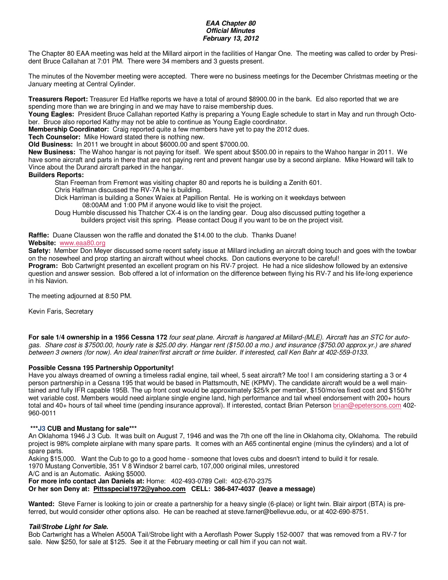#### **EAA Chapter 80 Official Minutes February 13, 2012**

The Chapter 80 EAA meeting was held at the Millard airport in the facilities of Hangar One. The meeting was called to order by President Bruce Callahan at 7:01 PM. There were 34 members and 3 guests present.

The minutes of the November meeting were accepted. There were no business meetings for the December Christmas meeting or the January meeting at Central Cylinder.

**Treasurers Report:** Treasurer Ed Haffke reports we have a total of around \$8900.00 in the bank. Ed also reported that we are spending more than we are bringing in and we may have to raise membership dues.

**Young Eagles:** President Bruce Callahan reported Kathy is preparing a Young Eagle schedule to start in May and run through October. Bruce also reported Kathy may not be able to continue as Young Eagle coordinator.

**Membership Coordinator:** Craig reported quite a few members have yet to pay the 2012 dues.

**Tech Counselor:** Mike Howard stated there is nothing new.

**Old Business:** In 2011 we brought in about \$6000.00 and spent \$7000.00.

**New Business:** The Wahoo hangar is not paying for itself. We spent about \$500.00 in repairs to the Wahoo hangar in 2011. We have some aircraft and parts in there that are not paying rent and prevent hangar use by a second airplane. Mike Howard will talk to Vince about the Durand aircraft parked in the hangar.

#### **Builders Reports:**

Stan Freeman from Fremont was visiting chapter 80 and reports he is building a Zenith 601.

- Chris Halfman discussed the RV-7A he is building.
- Dick Harriman is building a Sonex Waiex at Papillion Rental. He is working on it weekdays between 08:00AM and 1:00 PM if anyone would like to visit the project.

Doug Humble discussed his Thatcher CX-4 is on the landing gear. Doug also discussed putting together a builders project visit this spring. Please contact Doug if you want to be on the project visit.

**Raffle:** Duane Claussen won the raffle and donated the \$14.00 to the club. Thanks Duane!

### **Website:** www.eaa80.org

**Safety:** Member Don Meyer discussed some recent safety issue at Millard including an aircraft doing touch and goes with the towbar on the nosewheel and prop starting an aircraft without wheel chocks. Don cautions everyone to be careful!

**Program:** Bob Cartwright presented an excellent program on his RV-7 project. He had a nice slideshow followed by an extensive question and answer session. Bob offered a lot of information on the difference between flying his RV-7 and his life-long experience in his Navion.

The meeting adjourned at 8:50 PM.

Kevin Faris, Secretary

**For sale 1/4 ownership in a 1956 Cessna 172** four seat plane. Aircraft is hangared at Millard-(MLE). Aircraft has an STC for autogas. Share cost is \$7500.00, hourly rate is \$25.00 dry. Hangar rent (\$150.00 a mo.) and insurance (\$750.00 approx.yr.) are shared between 3 owners (for now). An ideal trainer/first aircraft or time builder. If interested, call Ken Bahr at 402-559-0133.

# **Possible Cessna 195 Partnership Opportunity!**

Have you always dreamed of owning a timeless radial engine, tail wheel, 5 seat aircraft? Me too! I am considering starting a 3 or 4 person partnership in a Cessna 195 that would be based in Plattsmouth, NE (KPMV). The candidate aircraft would be a well maintained and fully IFR capable 195B. The up front cost would be approximately \$25/k per member, \$150/mo/ea fixed cost and \$150/hr wet variable cost. Members would need airplane single engine land, high performance and tail wheel endorsement with 200+ hours total and 40+ hours of tail wheel time (pending insurance approval). If interested, contact Brian Peterson brian@epetersons.com 402- 960-0011

#### **\*\*\*J3 CUB and Mustang for sale\*\*\***

An Oklahoma 1946 J 3 Cub. It was built on August 7, 1946 and was the 7th one off the line in Oklahoma city, Oklahoma. The rebuild project is 98% complete airplane with many spare parts. It comes with an A65 continental engine (minus the cylinders) and a lot of spare parts.

Asking \$15,000. Want the Cub to go to a good home - someone that loves cubs and doesn't intend to build it for resale.

1970 Mustang Convertible, 351 V 8 Windsor 2 barrel carb, 107,000 original miles, unrestored

A/C and is an Automatic. Asking \$5000.

**For more info contact Jan Daniels at:** Home: 402-493-0789 Cell: 402-670-2375

**Or her son Deny at: Pittsspecial1972@yahoo.com CELL: 386-847-4037 (leave a message)** 

**Wanted:** Steve Farner is looking to join or create a partnership for a heavy single (6-place) or light twin. Blair airport (BTA) is preferred, but would consider other options also. He can be reached at steve.farner@bellevue.edu, or at 402-690-8751.

# **Tail/Strobe Light for Sale.**

Bob Cartwright has a Whelen A500A Tail/Strobe light with a Aeroflash Power Supply 152-0007 that was removed from a RV-7 for sale. New \$250, for sale at \$125. See it at the February meeting or call him if you can not wait.